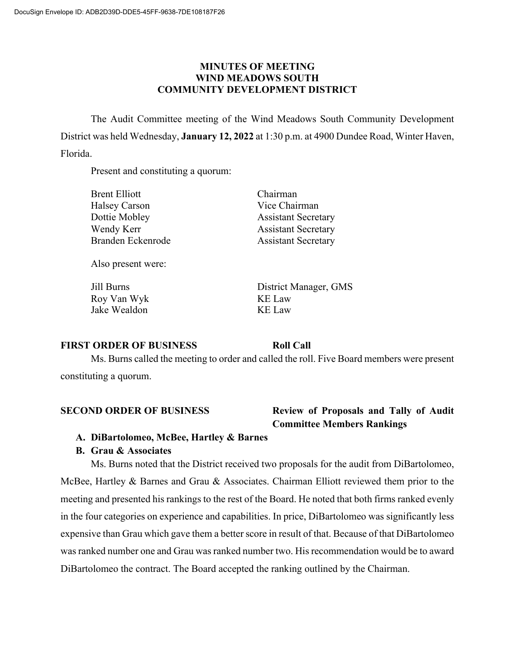## **MINUTES OF MEETING WIND MEADOWS SOUTH COMMUNITY DEVELOPMENT DISTRICT**

The Audit Committee meeting of the Wind Meadows South Community Development District was held Wednesday, **January 12, 2022** at 1:30 p.m. at 4900 Dundee Road, Winter Haven, Florida.

Present and constituting a quorum:

| Brent Elliott     | Chairman                   |
|-------------------|----------------------------|
| Halsey Carson     | Vice Chairman              |
| Dottie Mobley     | <b>Assistant Secretary</b> |
| Wendy Kerr        | <b>Assistant Secretary</b> |
| Branden Eckenrode | <b>Assistant Secretary</b> |
|                   |                            |

Also present were:

Roy Van Wyk KE Law Jake Wealdon KE Law

Jill Burns District Manager, GMS

# **FIRST ORDER OF BUSINESS Roll Call**

Ms. Burns called the meeting to order and called the roll. Five Board members were present constituting a quorum.

# **SECOND ORDER OF BUSINESS Review of Proposals and Tally of Audit Committee Members Rankings**

**A. DiBartolomeo, McBee, Hartley & Barnes**

# **B. Grau & Associates**

Ms. Burns noted that the District received two proposals for the audit from DiBartolomeo, McBee, Hartley & Barnes and Grau & Associates. Chairman Elliott reviewed them prior to the meeting and presented his rankings to the rest of the Board. He noted that both firms ranked evenly in the four categories on experience and capabilities. In price, DiBartolomeo was significantly less expensive than Grau which gave them a better score in result of that. Because of that DiBartolomeo was ranked number one and Grau was ranked number two. His recommendation would be to award DiBartolomeo the contract. The Board accepted the ranking outlined by the Chairman.